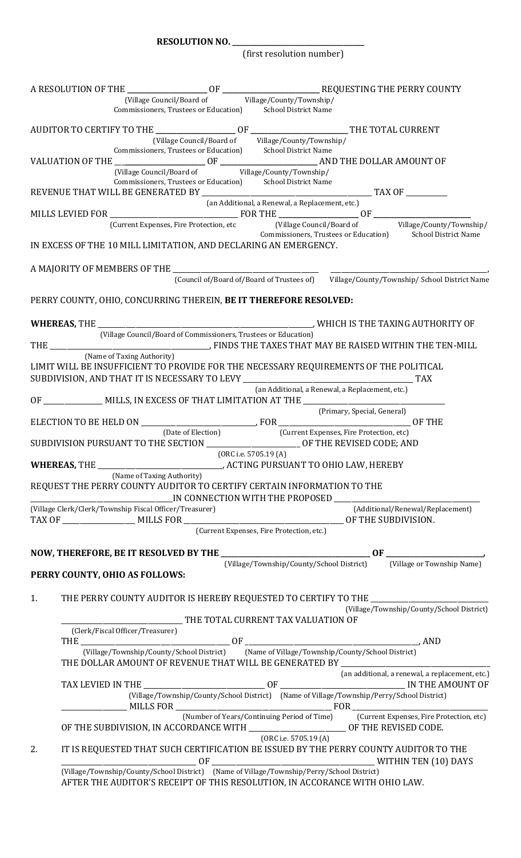**RESOLUTION NO. \_\_** 

(first resolution number)

|    |                                                                                                                                                                                                                                                                                                                                                                                                                                                                                                                                                                                                                                                     | (Village Council/Board of Village/County/Township/                                                               |                                                 |                             |                                                                                                                                                          |  |
|----|-----------------------------------------------------------------------------------------------------------------------------------------------------------------------------------------------------------------------------------------------------------------------------------------------------------------------------------------------------------------------------------------------------------------------------------------------------------------------------------------------------------------------------------------------------------------------------------------------------------------------------------------------------|------------------------------------------------------------------------------------------------------------------|-------------------------------------------------|-----------------------------|----------------------------------------------------------------------------------------------------------------------------------------------------------|--|
|    |                                                                                                                                                                                                                                                                                                                                                                                                                                                                                                                                                                                                                                                     | Commissioners, Trustees or Education) School District Name                                                       |                                                 |                             |                                                                                                                                                          |  |
|    |                                                                                                                                                                                                                                                                                                                                                                                                                                                                                                                                                                                                                                                     | (Village Council/Board of Village/County/Township/                                                               |                                                 |                             |                                                                                                                                                          |  |
|    |                                                                                                                                                                                                                                                                                                                                                                                                                                                                                                                                                                                                                                                     | Commissioners, Trustees or Education) School District Name                                                       |                                                 |                             |                                                                                                                                                          |  |
|    |                                                                                                                                                                                                                                                                                                                                                                                                                                                                                                                                                                                                                                                     |                                                                                                                  |                                                 |                             |                                                                                                                                                          |  |
|    |                                                                                                                                                                                                                                                                                                                                                                                                                                                                                                                                                                                                                                                     | (Village Council/Board of Village/County/Township/<br>Commissioners, Trustees or Education) School District Name |                                                 |                             |                                                                                                                                                          |  |
|    |                                                                                                                                                                                                                                                                                                                                                                                                                                                                                                                                                                                                                                                     |                                                                                                                  |                                                 |                             |                                                                                                                                                          |  |
|    |                                                                                                                                                                                                                                                                                                                                                                                                                                                                                                                                                                                                                                                     | (an Additional, a Renewal, a Replacement, etc.)                                                                  |                                                 |                             |                                                                                                                                                          |  |
|    |                                                                                                                                                                                                                                                                                                                                                                                                                                                                                                                                                                                                                                                     |                                                                                                                  |                                                 |                             | (Current Expenses, Fire Protection, etc [Village Council/Board of Village/County/Township/<br>Commissioners, Trustees or Education) School District Name |  |
|    | IN EXCESS OF THE 10 MILL LIMITATION, AND DECLARING AN EMERGENCY.                                                                                                                                                                                                                                                                                                                                                                                                                                                                                                                                                                                    |                                                                                                                  |                                                 |                             |                                                                                                                                                          |  |
|    |                                                                                                                                                                                                                                                                                                                                                                                                                                                                                                                                                                                                                                                     |                                                                                                                  |                                                 |                             |                                                                                                                                                          |  |
|    | A MAJORITY OF MEMBERS OF THE [Council of/Board of/Board of Trustees of]<br>(Council of/Board of/Board of Trustees of) village/County/Township/ School District Name                                                                                                                                                                                                                                                                                                                                                                                                                                                                                 |                                                                                                                  |                                                 |                             |                                                                                                                                                          |  |
|    | PERRY COUNTY, OHIO, CONCURRING THEREIN, BE IT THEREFORE RESOLVED:                                                                                                                                                                                                                                                                                                                                                                                                                                                                                                                                                                                   |                                                                                                                  |                                                 |                             |                                                                                                                                                          |  |
|    |                                                                                                                                                                                                                                                                                                                                                                                                                                                                                                                                                                                                                                                     |                                                                                                                  |                                                 |                             |                                                                                                                                                          |  |
|    |                                                                                                                                                                                                                                                                                                                                                                                                                                                                                                                                                                                                                                                     |                                                                                                                  |                                                 |                             |                                                                                                                                                          |  |
|    | (Name of Taxing Authority)<br>LIMIT WILL BE INSUFFICIENT TO PROVIDE FOR THE NECESSARY REQUIREMENTS OF THE POLITICAL                                                                                                                                                                                                                                                                                                                                                                                                                                                                                                                                 |                                                                                                                  |                                                 |                             |                                                                                                                                                          |  |
|    |                                                                                                                                                                                                                                                                                                                                                                                                                                                                                                                                                                                                                                                     |                                                                                                                  | (an Additional, a Renewal, a Replacement, etc.) |                             |                                                                                                                                                          |  |
|    |                                                                                                                                                                                                                                                                                                                                                                                                                                                                                                                                                                                                                                                     |                                                                                                                  |                                                 |                             |                                                                                                                                                          |  |
|    |                                                                                                                                                                                                                                                                                                                                                                                                                                                                                                                                                                                                                                                     |                                                                                                                  |                                                 | (Primary, Special, General) |                                                                                                                                                          |  |
|    | (Date of Election) (Current Expenses, Fire Protection, etc)<br>SUBDIVISION PURSUANT TO THE SECTION ___________________________ OF THE REVISED CODE; AND                                                                                                                                                                                                                                                                                                                                                                                                                                                                                             |                                                                                                                  |                                                 |                             |                                                                                                                                                          |  |
|    | WHEREAS, THE _________________________________, ACTING PURSUANT TO OHIO LAW, HEREBY                                                                                                                                                                                                                                                                                                                                                                                                                                                                                                                                                                 | (ORC i.e. 5705.19 (A)                                                                                            |                                                 |                             |                                                                                                                                                          |  |
|    | (Name of Taxing Authority)<br>REQUEST THE PERRY COUNTY AUDITOR TO CERTIFY CERTAIN INFORMATION TO THE                                                                                                                                                                                                                                                                                                                                                                                                                                                                                                                                                |                                                                                                                  |                                                 |                             |                                                                                                                                                          |  |
|    | (Village Clerk/Clerk/Township Fiscal Officer/Treasurer)                                                                                                                                                                                                                                                                                                                                                                                                                                                                                                                                                                                             |                                                                                                                  |                                                 |                             | (Additional/Renewal/Replacement)                                                                                                                         |  |
|    |                                                                                                                                                                                                                                                                                                                                                                                                                                                                                                                                                                                                                                                     |                                                                                                                  |                                                 |                             |                                                                                                                                                          |  |
|    |                                                                                                                                                                                                                                                                                                                                                                                                                                                                                                                                                                                                                                                     | (Current Expenses, Fire Protection, etc.)                                                                        |                                                 |                             |                                                                                                                                                          |  |
|    |                                                                                                                                                                                                                                                                                                                                                                                                                                                                                                                                                                                                                                                     |                                                                                                                  |                                                 |                             |                                                                                                                                                          |  |
|    | PERRY COUNTY, OHIO AS FOLLOWS:                                                                                                                                                                                                                                                                                                                                                                                                                                                                                                                                                                                                                      |                                                                                                                  |                                                 |                             |                                                                                                                                                          |  |
| 1. | THE PERRY COUNTY AUDITOR IS HEREBY REQUESTED TO CERTIFY TO THE _________________                                                                                                                                                                                                                                                                                                                                                                                                                                                                                                                                                                    |                                                                                                                  |                                                 |                             | (Village/Township/County/School District)                                                                                                                |  |
|    |                                                                                                                                                                                                                                                                                                                                                                                                                                                                                                                                                                                                                                                     |                                                                                                                  |                                                 |                             |                                                                                                                                                          |  |
|    | (Clerk/Fiscal Officer/Treasurer)                                                                                                                                                                                                                                                                                                                                                                                                                                                                                                                                                                                                                    |                                                                                                                  |                                                 |                             |                                                                                                                                                          |  |
|    | $\text{THE}\xspace \xrightarrow{\hspace{25mm}} \text{CVillage/Township/County/School District)} \text{OF}\xspace \xrightarrow{\hspace{25mm}} \text{GF}\xrightarrow{\hspace{25mm}} \text{AND}\xrightarrow{\hspace{25mm}} \text{AND}\xrightarrow{\hspace{25mm}} \text{AND}\xrightarrow{\hspace{25mm}} \text{AND}\xrightarrow{\hspace{25mm}} \text{AND}\xrightarrow{\hspace{25mm}} \text{AND}\xrightarrow{\hspace{25mm}} \text{AND}\xrightarrow{\hspace{25mm}} \text{AND}\xrightarrow{\hspace{25mm}} \text{AND}\xrightarrow{\hspace{25mm}} \text{AND}\xrightarrow$<br>THE DOLLAR AMOUNT OF REVENUE THAT WILL BE GENERATED BY _________________________ |                                                                                                                  |                                                 |                             |                                                                                                                                                          |  |
|    |                                                                                                                                                                                                                                                                                                                                                                                                                                                                                                                                                                                                                                                     |                                                                                                                  |                                                 |                             | (an additional, a renewal, a replacement, etc.)                                                                                                          |  |
|    |                                                                                                                                                                                                                                                                                                                                                                                                                                                                                                                                                                                                                                                     | (Village/Township/County/School District) (Name of Village/Township/Perry/School District)                       |                                                 |                             |                                                                                                                                                          |  |
|    | OF THE SUBDIVISION, IN ACCORDANCE WITH _________________________ OF THE REVISED CODE.                                                                                                                                                                                                                                                                                                                                                                                                                                                                                                                                                               |                                                                                                                  |                                                 |                             | (Number of Years/Continuing Period of Time) [Current Expenses, Fire Protection, etc)                                                                     |  |
| 2. | IT IS REQUESTED THAT SUCH CERTIFICATION BE ISSUED BY THE PERRY COUNTY AUDITOR TO THE                                                                                                                                                                                                                                                                                                                                                                                                                                                                                                                                                                |                                                                                                                  | (ORC i.e. 5705.19 (A))                          |                             |                                                                                                                                                          |  |
|    | MITHIN TEN (10) DAYS                                                                                                                                                                                                                                                                                                                                                                                                                                                                                                                                                                                                                                |                                                                                                                  |                                                 |                             |                                                                                                                                                          |  |
|    | AFTER THE AUDITOR'S RECEIPT OF THIS RESOLUTION, IN ACCORANCE WITH OHIO LAW.                                                                                                                                                                                                                                                                                                                                                                                                                                                                                                                                                                         |                                                                                                                  |                                                 |                             |                                                                                                                                                          |  |